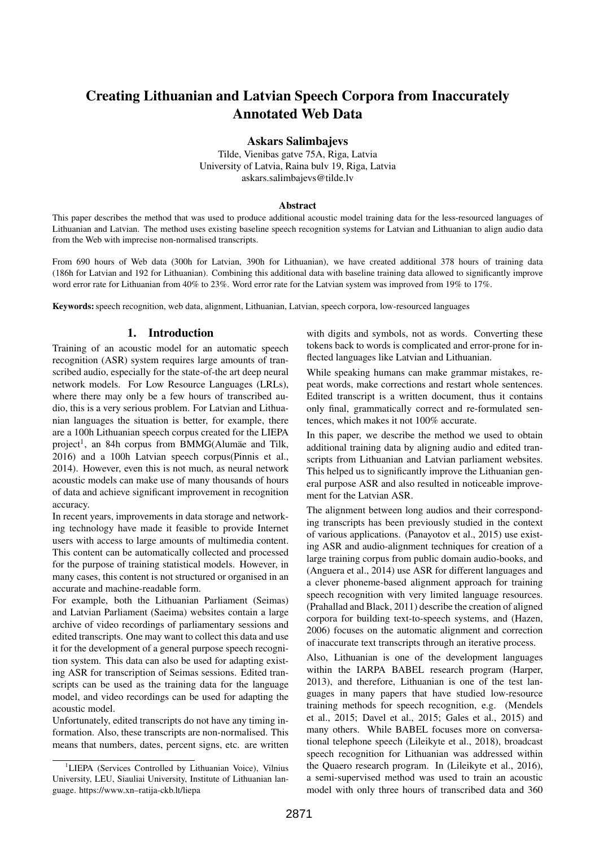# Creating Lithuanian and Latvian Speech Corpora from Inaccurately Annotated Web Data

Askars Salimbajevs

Tilde, Vienibas gatve 75A, Riga, Latvia University of Latvia, Raina bulv 19, Riga, Latvia askars.salimbajevs@tilde.lv

#### **Abstract**

This paper describes the method that was used to produce additional acoustic model training data for the less-resourced languages of Lithuanian and Latvian. The method uses existing baseline speech recognition systems for Latvian and Lithuanian to align audio data from the Web with imprecise non-normalised transcripts.

From 690 hours of Web data (300h for Latvian, 390h for Lithuanian), we have created additional 378 hours of training data (186h for Latvian and 192 for Lithuanian). Combining this additional data with baseline training data allowed to significantly improve word error rate for Lithuanian from 40% to 23%. Word error rate for the Latvian system was improved from 19% to 17%.

Keywords: speech recognition, web data, alignment, Lithuanian, Latvian, speech corpora, low-resourced languages

#### 1. Introduction

Training of an acoustic model for an automatic speech recognition (ASR) system requires large amounts of transcribed audio, especially for the state-of-the art deep neural network models. For Low Resource Languages (LRLs), where there may only be a few hours of transcribed audio, this is a very serious problem. For Latvian and Lithuanian languages the situation is better, for example, there are a 100h Lithuanian speech corpus created for the LIEPA project<sup>1</sup>, an 84h corpus from BMMG(Alumäe and Tilk, 2016) and a 100h Latvian speech corpus(Pinnis et al., 2014). However, even this is not much, as neural network acoustic models can make use of many thousands of hours of data and achieve significant improvement in recognition accuracy.

In recent years, improvements in data storage and networking technology have made it feasible to provide Internet users with access to large amounts of multimedia content. This content can be automatically collected and processed for the purpose of training statistical models. However, in many cases, this content is not structured or organised in an accurate and machine-readable form.

For example, both the Lithuanian Parliament (Seimas) and Latvian Parliament (Saeima) websites contain a large archive of video recordings of parliamentary sessions and edited transcripts. One may want to collect this data and use it for the development of a general purpose speech recognition system. This data can also be used for adapting existing ASR for transcription of Seimas sessions. Edited transcripts can be used as the training data for the language model, and video recordings can be used for adapting the acoustic model.

Unfortunately, edited transcripts do not have any timing information. Also, these transcripts are non-normalised. This means that numbers, dates, percent signs, etc. are written

<sup>1</sup>LIEPA (Services Controlled by Lithuanian Voice), Vilnius University, LEU, Siauliai University, Institute of Lithuanian language. https://www.xn–ratija-ckb.lt/liepa

with digits and symbols, not as words. Converting these tokens back to words is complicated and error-prone for inflected languages like Latvian and Lithuanian.

While speaking humans can make grammar mistakes, repeat words, make corrections and restart whole sentences. Edited transcript is a written document, thus it contains only final, grammatically correct and re-formulated sentences, which makes it not 100% accurate.

In this paper, we describe the method we used to obtain additional training data by aligning audio and edited transcripts from Lithuanian and Latvian parliament websites. This helped us to significantly improve the Lithuanian general purpose ASR and also resulted in noticeable improvement for the Latvian ASR.

The alignment between long audios and their corresponding transcripts has been previously studied in the context of various applications. (Panayotov et al., 2015) use existing ASR and audio-alignment techniques for creation of a large training corpus from public domain audio-books, and (Anguera et al., 2014) use ASR for different languages and a clever phoneme-based alignment approach for training speech recognition with very limited language resources. (Prahallad and Black, 2011) describe the creation of aligned corpora for building text-to-speech systems, and (Hazen, 2006) focuses on the automatic alignment and correction of inaccurate text transcripts through an iterative process.

Also, Lithuanian is one of the development languages within the IARPA BABEL research program (Harper, 2013), and therefore, Lithuanian is one of the test languages in many papers that have studied low-resource training methods for speech recognition, e.g. (Mendels et al., 2015; Davel et al., 2015; Gales et al., 2015) and many others. While BABEL focuses more on conversational telephone speech (Lileikyte et al., 2018), broadcast speech recognition for Lithuanian was addressed within the Quaero research program. In (Lileikyte et al., 2016), a semi-supervised method was used to train an acoustic model with only three hours of transcribed data and 360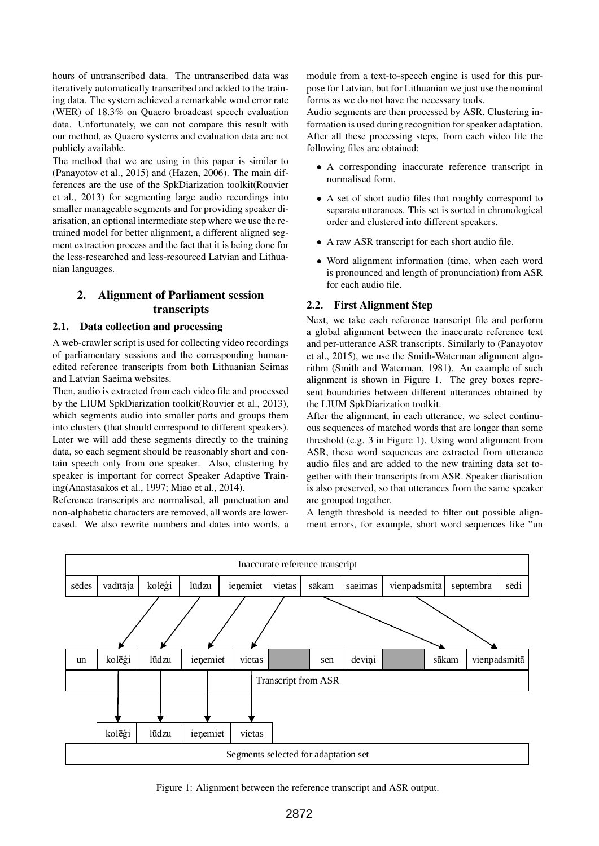hours of untranscribed data. The untranscribed data was iteratively automatically transcribed and added to the training data. The system achieved a remarkable word error rate (WER) of 18.3% on Quaero broadcast speech evaluation data. Unfortunately, we can not compare this result with our method, as Quaero systems and evaluation data are not publicly available.

The method that we are using in this paper is similar to (Panayotov et al., 2015) and (Hazen, 2006). The main differences are the use of the SpkDiarization toolkit(Rouvier et al., 2013) for segmenting large audio recordings into smaller manageable segments and for providing speaker diarisation, an optional intermediate step where we use the retrained model for better alignment, a different aligned segment extraction process and the fact that it is being done for the less-researched and less-resourced Latvian and Lithuanian languages.

## 2. Alignment of Parliament session transcripts

#### 2.1. Data collection and processing

A web-crawler script is used for collecting video recordings of parliamentary sessions and the corresponding humanedited reference transcripts from both Lithuanian Seimas and Latvian Saeima websites.

Then, audio is extracted from each video file and processed by the LIUM SpkDiarization toolkit(Rouvier et al., 2013), which segments audio into smaller parts and groups them into clusters (that should correspond to different speakers). Later we will add these segments directly to the training data, so each segment should be reasonably short and contain speech only from one speaker. Also, clustering by speaker is important for correct Speaker Adaptive Training(Anastasakos et al., 1997; Miao et al., 2014).

Reference transcripts are normalised, all punctuation and non-alphabetic characters are removed, all words are lowercased. We also rewrite numbers and dates into words, a module from a text-to-speech engine is used for this purpose for Latvian, but for Lithuanian we just use the nominal forms as we do not have the necessary tools.

Audio segments are then processed by ASR. Clustering information is used during recognition for speaker adaptation. After all these processing steps, from each video file the following files are obtained:

- A corresponding inaccurate reference transcript in normalised form.
- A set of short audio files that roughly correspond to separate utterances. This set is sorted in chronological order and clustered into different speakers.
- A raw ASR transcript for each short audio file.
- Word alignment information (time, when each word is pronounced and length of pronunciation) from ASR for each audio file.

#### 2.2. First Alignment Step

Next, we take each reference transcript file and perform a global alignment between the inaccurate reference text and per-utterance ASR transcripts. Similarly to (Panayotov et al., 2015), we use the Smith-Waterman alignment algorithm (Smith and Waterman, 1981). An example of such alignment is shown in Figure 1. The grey boxes represent boundaries between different utterances obtained by the LIUM SpkDiarization toolkit.

After the alignment, in each utterance, we select continuous sequences of matched words that are longer than some threshold (e.g. 3 in Figure 1). Using word alignment from ASR, these word sequences are extracted from utterance audio files and are added to the new training data set together with their transcripts from ASR. Speaker diarisation is also preserved, so that utterances from the same speaker are grouped together.

A length threshold is needed to filter out possible alignment errors, for example, short word sequences like "un



Figure 1: Alignment between the reference transcript and ASR output.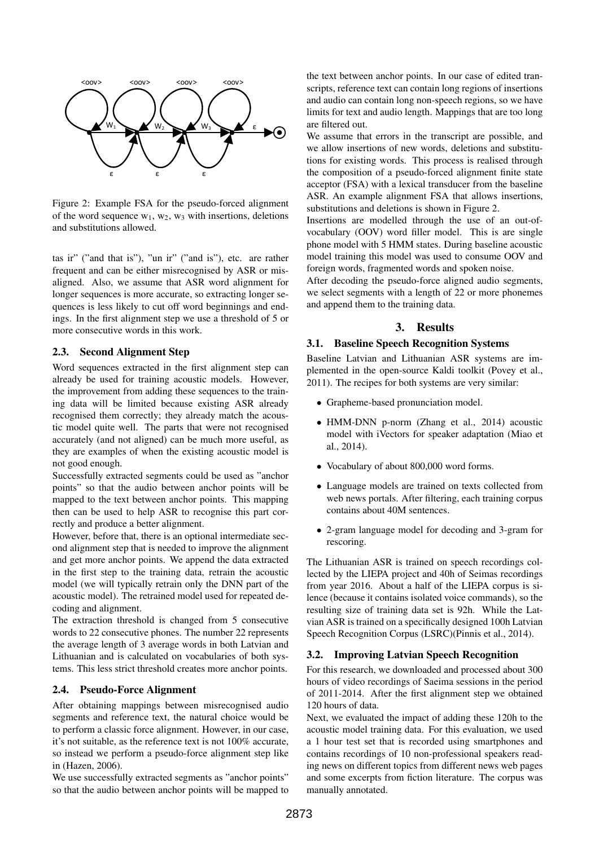

Figure 2: Example FSA for the pseudo-forced alignment of the word sequence  $w_1, w_2, w_3$  with insertions, deletions and substitutions allowed.

tas ir" ("and that is"), "un ir" ("and is"), etc. are rather frequent and can be either misrecognised by ASR or misaligned. Also, we assume that ASR word alignment for longer sequences is more accurate, so extracting longer sequences is less likely to cut off word beginnings and endings. In the first alignment step we use a threshold of 5 or more consecutive words in this work.

#### 2.3. Second Alignment Step

Word sequences extracted in the first alignment step can already be used for training acoustic models. However, the improvement from adding these sequences to the training data will be limited because existing ASR already recognised them correctly; they already match the acoustic model quite well. The parts that were not recognised accurately (and not aligned) can be much more useful, as they are examples of when the existing acoustic model is not good enough.

Successfully extracted segments could be used as "anchor points" so that the audio between anchor points will be mapped to the text between anchor points. This mapping then can be used to help ASR to recognise this part correctly and produce a better alignment.

However, before that, there is an optional intermediate second alignment step that is needed to improve the alignment and get more anchor points. We append the data extracted in the first step to the training data, retrain the acoustic model (we will typically retrain only the DNN part of the acoustic model). The retrained model used for repeated decoding and alignment.

The extraction threshold is changed from 5 consecutive words to 22 consecutive phones. The number 22 represents the average length of 3 average words in both Latvian and Lithuanian and is calculated on vocabularies of both systems. This less strict threshold creates more anchor points.

#### 2.4. Pseudo-Force Alignment

After obtaining mappings between misrecognised audio segments and reference text, the natural choice would be to perform a classic force alignment. However, in our case, it's not suitable, as the reference text is not 100% accurate, so instead we perform a pseudo-force alignment step like in (Hazen, 2006).

We use successfully extracted segments as "anchor points" so that the audio between anchor points will be mapped to the text between anchor points. In our case of edited transcripts, reference text can contain long regions of insertions and audio can contain long non-speech regions, so we have limits for text and audio length. Mappings that are too long are filtered out.

We assume that errors in the transcript are possible, and we allow insertions of new words, deletions and substitutions for existing words. This process is realised through the composition of a pseudo-forced alignment finite state acceptor (FSA) with a lexical transducer from the baseline ASR. An example alignment FSA that allows insertions, substitutions and deletions is shown in Figure 2.

Insertions are modelled through the use of an out-ofvocabulary (OOV) word filler model. This is are single phone model with 5 HMM states. During baseline acoustic model training this model was used to consume OOV and foreign words, fragmented words and spoken noise.

After decoding the pseudo-force aligned audio segments, we select segments with a length of 22 or more phonemes and append them to the training data.

#### 3. Results

#### 3.1. Baseline Speech Recognition Systems

Baseline Latvian and Lithuanian ASR systems are implemented in the open-source Kaldi toolkit (Povey et al., 2011). The recipes for both systems are very similar:

- Grapheme-based pronunciation model.
- HMM-DNN p-norm (Zhang et al., 2014) acoustic model with iVectors for speaker adaptation (Miao et al., 2014).
- Vocabulary of about 800,000 word forms.
- Language models are trained on texts collected from web news portals. After filtering, each training corpus contains about 40M sentences.
- 2-gram language model for decoding and 3-gram for rescoring.

The Lithuanian ASR is trained on speech recordings collected by the LIEPA project and 40h of Seimas recordings from year 2016. About a half of the LIEPA corpus is silence (because it contains isolated voice commands), so the resulting size of training data set is 92h. While the Latvian ASR is trained on a specifically designed 100h Latvian Speech Recognition Corpus (LSRC)(Pinnis et al., 2014).

#### 3.2. Improving Latvian Speech Recognition

For this research, we downloaded and processed about 300 hours of video recordings of Saeima sessions in the period of 2011-2014. After the first alignment step we obtained 120 hours of data.

Next, we evaluated the impact of adding these 120h to the acoustic model training data. For this evaluation, we used a 1 hour test set that is recorded using smartphones and contains recordings of 10 non-professional speakers reading news on different topics from different news web pages and some excerpts from fiction literature. The corpus was manually annotated.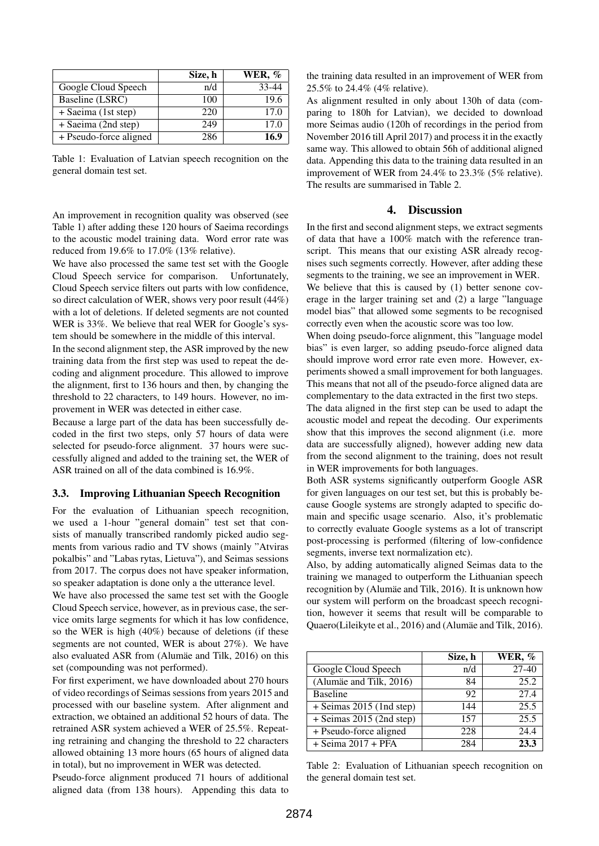|                        | Size, h | WER, % |
|------------------------|---------|--------|
| Google Cloud Speech    | n/d     | 33-44  |
| Baseline (LSRC)        | 100     | 19.6   |
| + Saeima (1st step)    | 220     | 17.0   |
| + Saeima (2nd step)    | 249     | 17.0   |
| + Pseudo-force aligned | 286     | 16.9   |

Table 1: Evaluation of Latvian speech recognition on the general domain test set.

An improvement in recognition quality was observed (see Table 1) after adding these 120 hours of Saeima recordings to the acoustic model training data. Word error rate was reduced from 19.6% to 17.0% (13% relative).

We have also processed the same test set with the Google Cloud Speech service for comparison. Unfortunately, Cloud Speech service filters out parts with low confidence, so direct calculation of WER, shows very poor result (44%) with a lot of deletions. If deleted segments are not counted WER is 33%. We believe that real WER for Google's system should be somewhere in the middle of this interval.

In the second alignment step, the ASR improved by the new training data from the first step was used to repeat the decoding and alignment procedure. This allowed to improve the alignment, first to 136 hours and then, by changing the threshold to 22 characters, to 149 hours. However, no improvement in WER was detected in either case.

Because a large part of the data has been successfully decoded in the first two steps, only 57 hours of data were selected for pseudo-force alignment. 37 hours were successfully aligned and added to the training set, the WER of ASR trained on all of the data combined is 16.9%.

#### 3.3. Improving Lithuanian Speech Recognition

For the evaluation of Lithuanian speech recognition, we used a 1-hour "general domain" test set that consists of manually transcribed randomly picked audio segments from various radio and TV shows (mainly "Atviras pokalbis" and "Labas rytas, Lietuva"), and Seimas sessions from 2017. The corpus does not have speaker information, so speaker adaptation is done only a the utterance level.

We have also processed the same test set with the Google Cloud Speech service, however, as in previous case, the service omits large segments for which it has low confidence, so the WER is high (40%) because of deletions (if these segments are not counted, WER is about 27%). We have also evaluated ASR from (Alumäe and Tilk, 2016) on this set (compounding was not performed).

For first experiment, we have downloaded about 270 hours of video recordings of Seimas sessions from years 2015 and processed with our baseline system. After alignment and extraction, we obtained an additional 52 hours of data. The retrained ASR system achieved a WER of 25.5%. Repeating retraining and changing the threshold to 22 characters allowed obtaining 13 more hours (65 hours of aligned data in total), but no improvement in WER was detected.

Pseudo-force alignment produced 71 hours of additional aligned data (from 138 hours). Appending this data to

the training data resulted in an improvement of WER from 25.5% to 24.4% (4% relative).

As alignment resulted in only about 130h of data (comparing to 180h for Latvian), we decided to download more Seimas audio (120h of recordings in the period from November 2016 till April 2017) and process it in the exactly same way. This allowed to obtain 56h of additional aligned data. Appending this data to the training data resulted in an improvement of WER from 24.4% to 23.3% (5% relative). The results are summarised in Table 2.

### 4. Discussion

In the first and second alignment steps, we extract segments of data that have a 100% match with the reference transcript. This means that our existing ASR already recognises such segments correctly. However, after adding these segments to the training, we see an improvement in WER.

We believe that this is caused by (1) better senone coverage in the larger training set and (2) a large "language model bias" that allowed some segments to be recognised correctly even when the acoustic score was too low.

When doing pseudo-force alignment, this "language model bias" is even larger, so adding pseudo-force aligned data should improve word error rate even more. However, experiments showed a small improvement for both languages. This means that not all of the pseudo-force aligned data are complementary to the data extracted in the first two steps.

The data aligned in the first step can be used to adapt the acoustic model and repeat the decoding. Our experiments show that this improves the second alignment (i.e. more data are successfully aligned), however adding new data from the second alignment to the training, does not result in WER improvements for both languages.

Both ASR systems significantly outperform Google ASR for given languages on our test set, but this is probably because Google systems are strongly adapted to specific domain and specific usage scenario. Also, it's problematic to correctly evaluate Google systems as a lot of transcript post-processing is performed (filtering of low-confidence segments, inverse text normalization etc).

Also, by adding automatically aligned Seimas data to the training we managed to outperform the Lithuanian speech recognition by (Alumäe and Tilk, 2016). It is unknown how our system will perform on the broadcast speech recognition, however it seems that result will be comparable to Quaero(Lileikyte et al., 2016) and (Alumäe and Tilk, 2016).

|                            | Size, h | WER, $%$ |
|----------------------------|---------|----------|
| Google Cloud Speech        | n/d     | $27-40$  |
| (Alumäe and Tilk, 2016)    | 84      | 25.2     |
| <b>Baseline</b>            | 92      | 27.4     |
| $+$ Seimas 2015 (1nd step) | 144     | 25.5     |
| $+$ Seimas 2015 (2nd step) | 157     | 25.5     |
| + Pseudo-force aligned     | 228     | 24.4     |
| $+$ Seima 2017 + PFA       | 284     | 23.3     |

Table 2: Evaluation of Lithuanian speech recognition on the general domain test set.